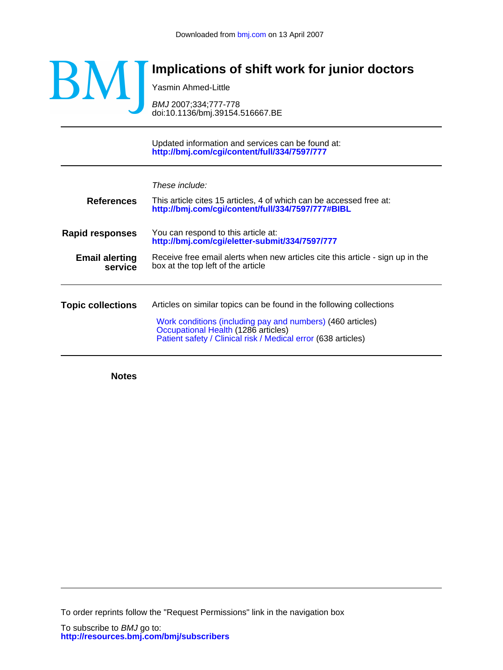

## **Implications of shift work for junior doctors**

Yasmin Ahmed-Little

doi:10.1136/bmj.39154.516667.BE BMJ 2007;334;777-778

**<http://bmj.com/cgi/content/full/334/7597/777>** Updated information and services can be found at: These include: **References <http://bmj.com/cgi/content/full/334/7597/777#BIBL>** This article cites 15 articles, 4 of which can be accessed free at: **Rapid responses <http://bmj.com/cgi/eletter-submit/334/7597/777>** You can respond to this article at: **service Email alerting** Receive free email alerts when new articles cite this article - sign up in the **service** box at the top left of the article **Topic collections** [Patient safety / Clinical risk / Medical error](http://bmj.com/cgi/collection/medical_error_patient_safety) (638 articles) [Occupational Health](http://bmj.com/cgi/collection/occupational_health) (1286 articles) [Work conditions \(including pay and numbers\)](http://bmj.com/cgi/collection/medical_careers:numbers) (460 articles) Articles on similar topics can be found in the following collections

**Notes**

To order reprints follow the "Request Permissions" link in the navigation box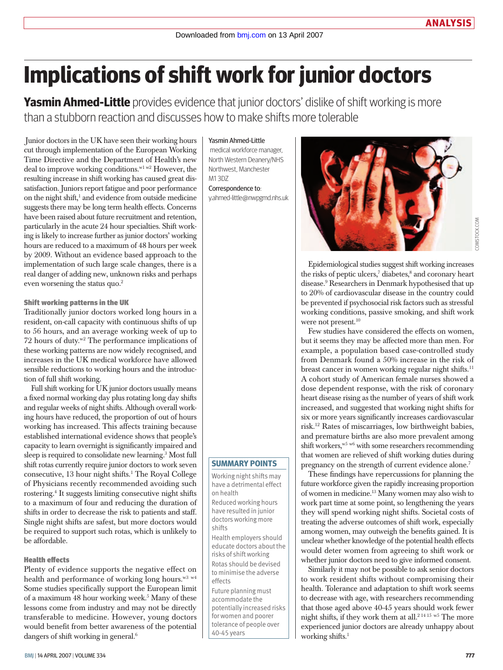# **Implications of shift work for junior doctors**

**Yasmin Ahmed-Little** provides evidence that junior doctors' dislike of shift working is more than a stubborn reaction and discusses how to make shifts more tolerable

Junior doctors in the UK have seen their working hours cut through implementation of the European Working Time Directive and the Department of Health's new deal to improve working conditions.<sup>w1 w2</sup> However, the resulting increase in shift working has caused great dissatisfaction. Juniors report fatigue and poor performance on the night shift,<sup>1</sup> and evidence from outside medicine suggests there may be long term health effects. Concerns have been raised about future recruitment and retention, particularly in the acute 24 hour specialties. Shift working is likely to increase further as junior doctors' working hours are reduced to a maximum of 48 hours per week by 2009. Without an evidence based approach to the implementation of such large scale changes, there is a real danger of adding new, unknown risks and perhaps even worsening the status quo.<sup>2</sup>

### Shift working patterns in the UK

Traditionally junior doctors worked long hours in a resident, on-call capacity with continuous shifts of up to 56 hours, and an average working week of up to 72 hours of duty. $w^2$  The performance implications of these working patterns are now widely recognised, and increases in the UK medical workforce have allowed sensible reductions to working hours and the introduction of full shift working.

Full shift working for UK junior doctors usually means a fixed normal working day plus rotating long day shifts and regular weeks of night shifts. Although overall working hours have reduced, the proportion of out of hours working has increased. This affects training because established international evidence shows that people's capacity to learn overnight is significantly impaired and sleep is required to consolidate new learning.3 Most full shift rotas currently require junior doctors to work seven consecutive, 13 hour night shifts.1 The Royal College of Physicians recently recommended avoiding such rostering.4 It suggests limiting consecutive night shifts to a maximum of four and reducing the duration of shifts in order to decrease the risk to patients and staff. Single night shifts are safest, but more doctors would be required to support such rotas, which is unlikely to be affordable.

### Health effects

Plenty of evidence supports the negative effect on health and performance of working long hours.<sup>w3 w4</sup> Some studies specifically support the European limit of a maximum 48 hour working week.<sup>5</sup> Many of these lessons come from industry and may not be directly transferable to medicine. However, young doctors would benefit from better awareness of the potential dangers of shift working in general.<sup>6</sup>

#### Yasmin Ahmed-Little

 medical workforce manager, North Western Deanery/NHS Northwest, Manchester M1 3DZ Correspondence to:

y.ahmed-little@nwpgmd.nhs.uk

Epidemiological studies suggest shift working increases the risks of peptic ulcers,<sup>7</sup> diabetes,<sup>8</sup> and coronary heart disease.9 Researchers in Denmark hypothesised that up to 20% of cardiovascular disease in the country could be prevented if psychosocial risk factors such as stressful working conditions, passive smoking, and shift work were not present.<sup>10</sup>

Few studies have considered the effects on women, but it seems they may be affected more than men. For example, a population based case-controlled study from Denmark found a 50% increase in the risk of breast cancer in women working regular night shifts.<sup>11</sup> A cohort study of American female nurses showed a dose dependent response, with the risk of coronary heart disease rising as the number of years of shift work increased, and suggested that working night shifts for six or more years significantly increases cardiovascular risk.12 Rates of miscarriages, low birthweight babies, and premature births are also more prevalent among shift workers,<sup>w5 w6</sup> with some researchers recommending that women are relieved of shift working duties during pregnancy on the strength of current evidence alone.<sup>7</sup>

These findings have repercussions for planning the future workforce given the rapidly increasing proportion of women in medicine.13 Many women may also wish to work part time at some point, so lengthening the years they will spend working night shifts. Societal costs of treating the adverse outcomes of shift work, especially among women, may outweigh the benefits gained. It is unclear whether knowledge of the potential health effects would deter women from agreeing to shift work or whether junior doctors need to give informed consent.

Similarly it may not be possible to ask senior doctors to work resident shifts without compromising their health. Tolerance and adaptation to shift work seems to decrease with age, with researchers recommending that those aged above 40-45 years should work fewer night shifts, if they work them at all.2 <sup>14</sup> <sup>15</sup> w5 The more experienced junior doctors are already unhappy about working shifts.<sup>1</sup>

### **Summary points**

Working night shifts may have a detrimental effect on health Reduced working hours have resulted in junior doctors working more shifts Health employers should educate doctors about the

risks of shift working Rotas should be devised to minimise the adverse effects

Future planning must accommodate the potentially increased risks for women and poorer tolerance of people over 40-45 years